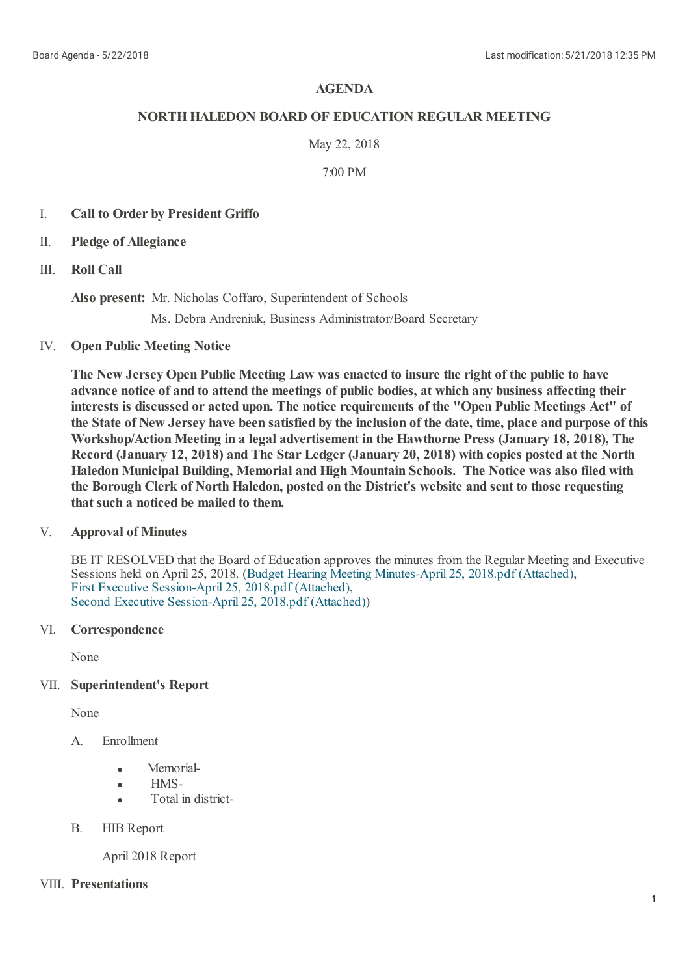## **AGENDA**

## **NORTHHALEDON BOARD OF EDUCATION REGULAR MEETING**

## May 22, 2018

## 7:00 PM

- I. **Call to Order by President Griffo**
- II. **Pledge of Allegiance**
- III. **Roll Call**

**Also present:** Mr. Nicholas Coffaro, Superintendent of Schools

Ms. Debra Andreniuk, Business Administrator/Board Secretary

#### IV. **Open Public Meeting Notice**

**The New Jersey Open Public Meeting Law was enacted to insure the right of the public to have advance notice of and to attend the meetings of public bodies, at which any business affecting their interests is discussed or acted upon. The notice requirements of the "Open Public Meetings Act" of** the State of New Jersey have been satisfied by the inclusion of the date, time, place and purpose of this **Workshop/Action Meeting in a legal advertisement in the Hawthorne Press (January 18, 2018), The Record (January 12, 2018) and The Star Ledger(January 20, 2018) with copies posted at the North Haledon Municipal Building, Memorial and High Mountain Schools. The Notice was also filed with the Borough Clerk of North Haledon, posted on the District's website and sent to those requesting that such a noticed be mailed to them.**

#### V. **Approval of Minutes**

BE IT RESOLVED that the Board of Education approves the minutes from the Regular Meeting and Executive Sessions held on April 25, 2018. (Budget Hearing Meeting [Minutes-April](https://www.boardconnectnj.com/Item/DownloadAttachment/527) 25, 2018.pdf (Attached), First Executive [Session-April](https://www.boardconnectnj.com/Item/DownloadAttachment/528) 25, 2018.pdf (Attached), Second Executive [Session-April](https://www.boardconnectnj.com/Item/DownloadAttachment/529) 25, 2018.pdf (Attached))

# VI. **Correspondence**

None

# VII. **Superintendent's Report**

None

- A. Enrollment
	- Memorial-
	- HMS-
	- Total in district-
- B. HIB Report

April 2018 Report

## VIII. **Presentations**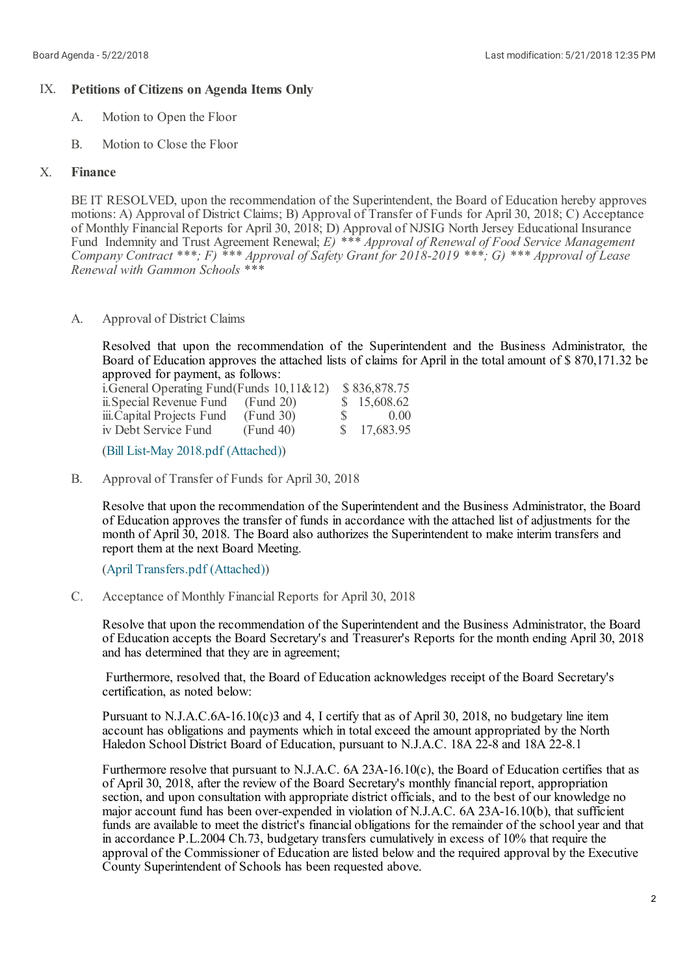## IX. **Petitions of Citizens on Agenda Items Only**

- A. Motion to Open the Floor
- B. Motion to Close the Floor

#### X. **Finance**

BE IT RESOLVED, upon the recommendation of the Superintendent, the Board of Education hereby approves motions: A) Approval of District Claims; B) Approval of Transfer of Funds for April 30, 2018; C) Acceptance of Monthly Financial Reports for April 30, 2018; D) Approval of NJSIG North Jersey Educational Insurance Fund Indemnity and Trust Agreement Renewal; *E) \*\*\* Approval of Renewal of Food Service Management Company Contract \*\*\*; F) \*\*\* Approval of Safety Grant for 2018-2019 \*\*\*; G) \*\*\* Approval of Lease Renewal with Gammon Schools \*\*\**

A. Approval of District Claims

> Resolved that upon the recommendation of the Superintendent and the Business Administrator, the Board of Education approves the attached lists of claims for April in the total amount of \$ 870,171.32 be approved for payment, as follows:

| i. General Operating Fund (Funds $10,11\&12$ ) |    | \$836,878.75 |
|------------------------------------------------|----|--------------|
| (Fund 20)                                      |    | \$15,608.62  |
| (Fund 30)                                      | S. | 0.00         |
| (Fund 40)                                      |    | \$17,683.95  |
|                                                |    |              |

(Bill List-May 2018.pdf [\(Attached\)](https://www.boardconnectnj.com/Item/DownloadAttachment/521))

B. Approval of Transfer of Funds for April 30, 2018

> Resolve that upon the recommendation of the Superintendent and the Business Administrator, the Board of Education approves the transfer of funds in accordance with the attached list of adjustments for the month of April 30, 2018. The Board also authorizes the Superintendent to make interim transfers and report them at the next Board Meeting.

(April [Transfers.pdf](https://www.boardconnectnj.com/Item/DownloadAttachment/523) (Attached))

C. Acceptance of Monthly Financial Reports for April 30, 2018

Resolve that upon the recommendation of the Superintendent and the Business Administrator, the Board of Education accepts the Board Secretary's and Treasurer's Reports for the month ending April 30, 2018 and has determined that they are in agreement;

Furthermore, resolved that, the Board of Education acknowledges receipt of the Board Secretary's certification, as noted below:

Pursuant to N.J.A.C.6A-16.10(c)3 and 4, I certify that as of April 30, 2018, no budgetary line item account has obligations and payments which in totalexceed the amount appropriated by the North Haledon School District Board of Education, pursuant to N.J.A.C. 18A 22-8 and 18A 22-8.1

Furthermore resolve that pursuant to N.J.A.C. 6A 23A-16.10(c), the Board of Education certifies that as of April 30, 2018, after the review of the Board Secretary's monthly financial report, appropriation section, and upon consultation with appropriate district officials, and to the best of our knowledge no major account fund has been over-expended in violation of N.J.A.C. 6A 23A-16.10(b), that sufficient funds are available to meet the district's financial obligations for the remainder of the school year and that in accordance P.L.2004 Ch.73, budgetary transfers cumulatively in excess of 10% that require the approval of the Commissioner of Education are listed below and the required approval by the Executive County Superintendent of Schools has been requested above.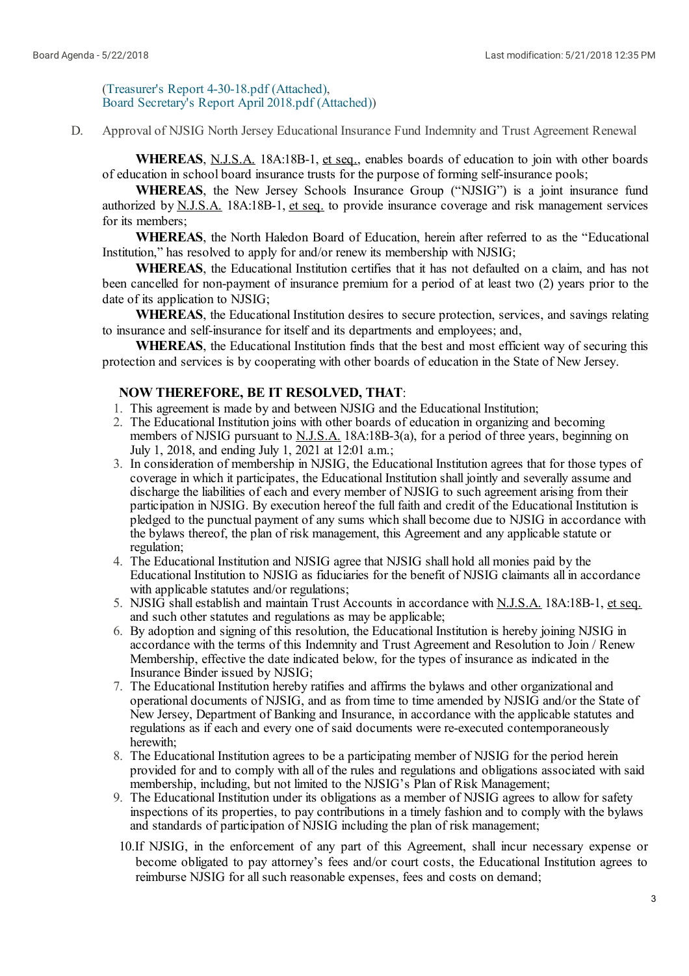(Treasurer's Report [4-30-18.pdf](https://www.boardconnectnj.com/Item/DownloadAttachment/508) (Attached), Board [Secretary's](https://www.boardconnectnj.com/Item/DownloadAttachment/509) Report April 2018.pdf (Attached))

D. Approval of NJSIG North Jersey Educational Insurance Fund Indemnity and Trust Agreement Renewal

**WHEREAS**, N.J.S.A. 18A:18B-1, et seq., enables boards of education to join with other boards of education in school board insurance trusts for the purpose of forming self-insurance pools;

**WHEREAS**, the New Jersey Schools Insurance Group ("NJSIG") is a joint insurance fund authorized by N.J.S.A. 18A:18B-1, et seq. to provide insurance coverage and risk management services for its members;

**WHEREAS**, the North Haledon Board of Education, herein after referred to as the "Educational Institution," has resolved to apply for and/or renew its membership with NJSIG;

**WHEREAS**, the Educational Institution certifies that it has not defaulted on a claim, and has not been cancelled for non-payment of insurance premium for a period of at least two (2) years prior to the date of its application to NJSIG;

**WHEREAS**, the Educational Institution desires to secure protection, services, and savings relating to insurance and self-insurance for itself and its departments and employees; and,

**WHEREAS**, the Educational Institution finds that the best and most efficient way of securing this protection and services is by cooperating with other boards of education in the State of New Jersey.

## **NOW THEREFORE, BE IT RESOLVED, THAT**:

- 1. This agreement is made by and between NJSIG and the Educational Institution;
- 2. The Educational Institution joins with other boards of education in organizing and becoming members of NJSIG pursuant to **N.J.S.A.** 18A:18B-3(a), for a period of three years, beginning on July 1, 2018, and ending July 1, 2021 at 12:01 a.m.;
- 3. In consideration of membership in NJSIG, the Educational Institution agrees that for those types of coverage in which it participates, the Educational Institution shall jointly and severally assume and discharge the liabilities of each and every member of NJSIG to such agreement arising from their participation in NJSIG. By execution hereof the full faith and credit of the Educational Institution is pledged to the punctual payment of any sums which shall become due to NJSIG in accordance with the bylaws thereof, the plan of risk management, this Agreement and any applicable statute or regulation;
- 4. The Educational Institution and NJSIG agree that NJSIG shall hold all monies paid by the Educational Institution to NJSIG as fiduciaries for the benefit of NJSIG claimants all in accordance with applicable statutes and/or regulations;
- 5. NJSIG shallestablish and maintain Trust Accounts in accordance with N.J.S.A. 18A:18B-1, et seq. and such other statutes and regulations as may be applicable;
- 6. By adoption and signing of this resolution, the Educational Institution is hereby joining NJSIG in accordance with the terms of this Indemnity and Trust Agreement and Resolution to Join / Renew Membership, effective the date indicated below, for the types of insurance as indicated in the Insurance Binder issued by NJSIG;
- 7. The Educational Institution hereby ratifies and affirms the bylaws and other organizationaland operational documents of NJSIG, and as from time to time amended by NJSIG and/or the State of New Jersey, Department of Banking and Insurance, in accordance with the applicable statutes and regulations as if each and every one of said documents were re-executed contemporaneously herewith;
- 8. The Educational Institution agrees to be a participating member of NJSIG for the period herein provided for and to comply with all of the rules and regulations and obligations associated with said membership, including, but not limited to the NJSIG's Plan of Risk Management;
- 9. The Educational Institution under its obligations as a member of NJSIG agrees to allow for safety inspections of its properties, to pay contributions in a timely fashion and to comply with the bylaws and standards of participation of NJSIG including the plan of risk management;
- 10.If NJSIG, in the enforcement of any part of this Agreement, shall incur necessary expense or become obligated to pay attorney's fees and/or court costs, the Educational Institution agrees to reimburse NJSIG for all such reasonable expenses, fees and costs on demand;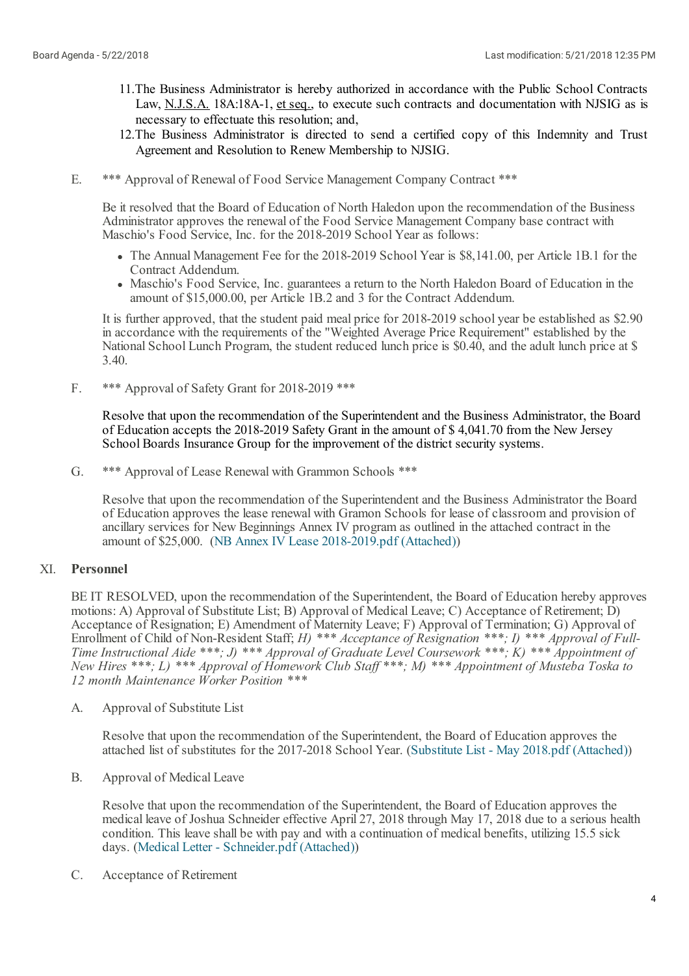- 11.The Business Administrator is hereby authorized in accordance with the Public School Contracts Law, N.J.S.A. 18A:18A-1, et seq., to execute such contracts and documentation with NJSIG as is necessary to effectuate this resolution; and,
- 12.The Business Administrator is directed to send a certified copy of this Indemnity and Trust Agreement and Resolution to Renew Membership to NJSIG.
- E. \*\*\* Approval of Renewal of Food Service Management Company Contract \*\*\*

Be it resolved that the Board of Education of North Haledon upon the recommendation of the Business Administrator approves the renewal of the Food Service Management Company base contract with Maschio's Food Service, Inc. for the 2018-2019 School Year as follows:

- The Annual Management Fee for the 2018-2019 School Year is \$8,141.00, per Article 1B.1 for the
- Contract Addendum.<br>• Maschio's Food Service, Inc. guarantees a return to the North Haledon Board of Education in the amount of \$15,000.00, per Article 1B.2 and 3 for the Contract Addendum.

It is further approved, that the student paid meal price for 2018-2019 school year be established as \$2.90 in accordance with the requirements of the "Weighted Average Price Requirement" established by the National School Lunch Program, the student reduced lunch price is \$0.40, and the adult lunch price at \$ 3.40.

F. \*\*\* Approval of Safety Grant for 2018-2019 \*\*\*

> Resolve that upon the recommendation of the Superintendent and the Business Administrator, the Board of Education accepts the 2018-2019 Safety Grant in the amount of \$ 4,041.70 from the New Jersey School Boards Insurance Group for the improvement of the district security systems.

G. \*\*\* Approval of Lease Renewal with Grammon Schools \*\*\*

Resolve that upon the recommendation of the Superintendent and the Business Administrator the Board of Education approves the lease renewal with Gramon Schools for lease of classroom and provision of ancillary services for New Beginnings Annex IV program as outlined in the attached contract in the amount of \$25,000. (NB Annex IV Lease [2018-2019.pdf](https://www.boardconnectnj.com/Item/DownloadAttachment/526) (Attached))

#### XI. **Personnel**

BE IT RESOLVED, upon the recommendation of the Superintendent, the Board of Education hereby approves motions: A) Approval of Substitute List; B) Approval of Medical Leave; C) Acceptance of Retirement; D) Acceptance of Resignation; E) Amendment of Maternity Leave; F) Approval of Termination; G) Approval of Enrollment of Child of Non-Resident Staff; *H) \*\*\* Acceptance of Resignation \*\*\*; I) \*\*\* Approval of Full-Time Instructional Aide \*\*\*; J) \*\*\* Approval of Graduate Level Coursework \*\*\*; K) \*\*\* Appointment of New Hires \*\*\*; L) \*\*\* Approval of Homework Club Staf \*\*\*; M) \*\*\* Appointment of Musteba Toska to 12 month Maintenance Worker Position \*\*\**

A. Approval of Substitute List

> Resolve that upon the recommendation of the Superintendent, the Board of Education approves the attached list of substitutes for the 2017-2018 School Year. (Substitute List - May 2018.pdf [\(Attached\)](https://www.boardconnectnj.com/Item/DownloadAttachment/524))

B. Approval of Medical Leave

> Resolve that upon the recommendation of the Superintendent, the Board of Education approves the medical leave of Joshua Schneider effective April 27, 2018 through May 17, 2018 due to a serious health condition. This leave shall be with pay and with a continuation of medical benefits, utilizing 15.5 sick days. (Medical Letter - [Schneider.pdf](https://www.boardconnectnj.com/Item/DownloadAttachment/530) (Attached))

C. Acceptance of Retirement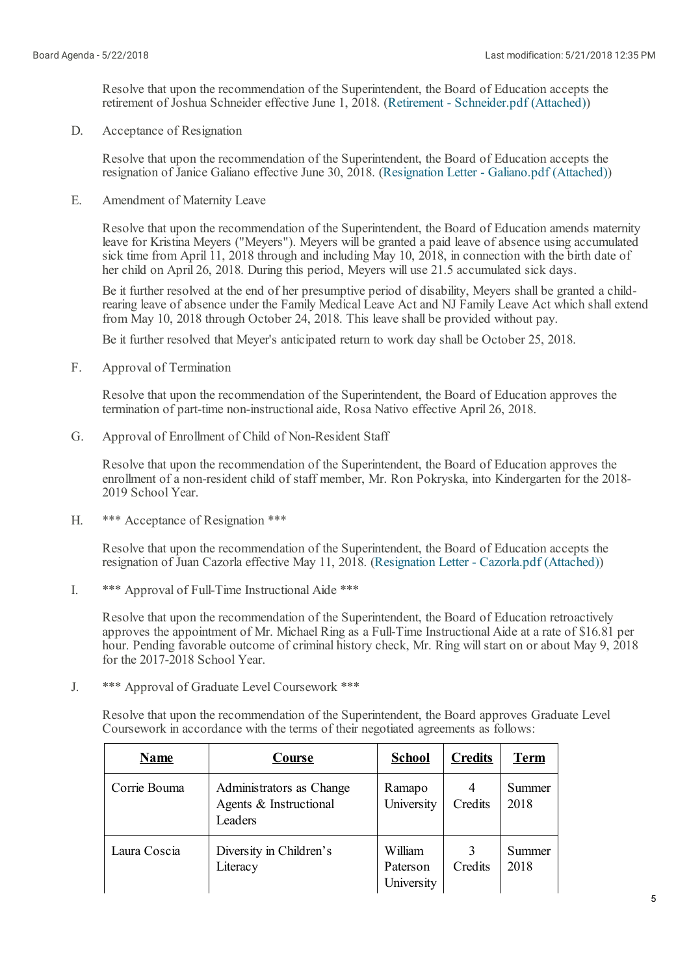Resolve that upon the recommendation of the Superintendent, the Board of Education accepts the retirement of Joshua Schneider effective June 1, 2018. (Retirement - [Schneider.pdf](https://www.boardconnectnj.com/Item/DownloadAttachment/531) (Attached))

D. Acceptance of Resignation

> Resolve that upon the recommendation of the Superintendent, the Board of Education accepts the resignation of Janice Galiano effective June 30, 2018. (Resignation Letter - [Galiano.pdf](https://www.boardconnectnj.com/Item/DownloadAttachment/532) (Attached))

E. Amendment of Maternity Leave

> Resolve that upon the recommendation of the Superintendent, the Board of Education amends maternity leave for Kristina Meyers ("Meyers"). Meyers will be granted a paid leave of absence using accumulated sick time from April 11, 2018 through and including May 10, 2018, in connection with the birth date of her child on April 26, 2018. During this period, Meyers will use 21.5 accumulated sick days.

Be it further resolved at the end of her presumptive period of disability, Meyers shall be granted a childrearing leave of absence under the Family Medical Leave Act and NJ Family Leave Act which shallextend from May 10, 2018 through October 24, 2018. This leave shall be provided without pay.

Be it further resolved that Meyer's anticipated return to work day shall be October 25, 2018.

F. Approval of Termination

> Resolve that upon the recommendation of the Superintendent, the Board of Education approves the termination of part-time non-instructionalaide, Rosa Nativo effective April 26, 2018.

G. Approval of Enrollment of Child of Non-Resident Staff

Resolve that upon the recommendation of the Superintendent, the Board of Education approves the enrollment of a non-resident child of staff member, Mr. Ron Pokryska, into Kindergarten for the 2018- 2019 School Year.

H. \*\*\* Acceptance of Resignation \*\*\*

> Resolve that upon the recommendation of the Superintendent, the Board of Education accepts the resignation of Juan Cazorla effective May 11, 2018. [\(Resignation](https://www.boardconnectnj.com/Item/DownloadAttachment/533) Letter - Cazorla.pdf (Attached))

I. \*\*\* Approval of Full-Time Instructional Aide \*\*\*

> Resolve that upon the recommendation of the Superintendent, the Board of Education retroactively approves the appointment of Mr. Michael Ring as a Full-Time Instructional Aide at a rate of \$16.81 per hour. Pending favorable outcome of criminal history check, Mr. Ring will start on or about May 9, 2018 for the 2017-2018 School Year.

J. \*\*\* Approval of Graduate Level Coursework \*\*\*

> Resolve that upon the recommendation of the Superintendent, the Board approves Graduate Level Coursework in accordance with the terms of their negotiated agreements as follows:

| <b>Name</b>  | Course                                                        | <b>School</b>                     | <b>Credits</b> | <b>Term</b>    |
|--------------|---------------------------------------------------------------|-----------------------------------|----------------|----------------|
| Corrie Bouma | Administrators as Change<br>Agents & Instructional<br>Leaders | Ramapo<br>University              | Credits        | Summer<br>2018 |
| Laura Coscia | Diversity in Children's<br>Literacy                           | William<br>Paterson<br>University | Credits        | Summer<br>2018 |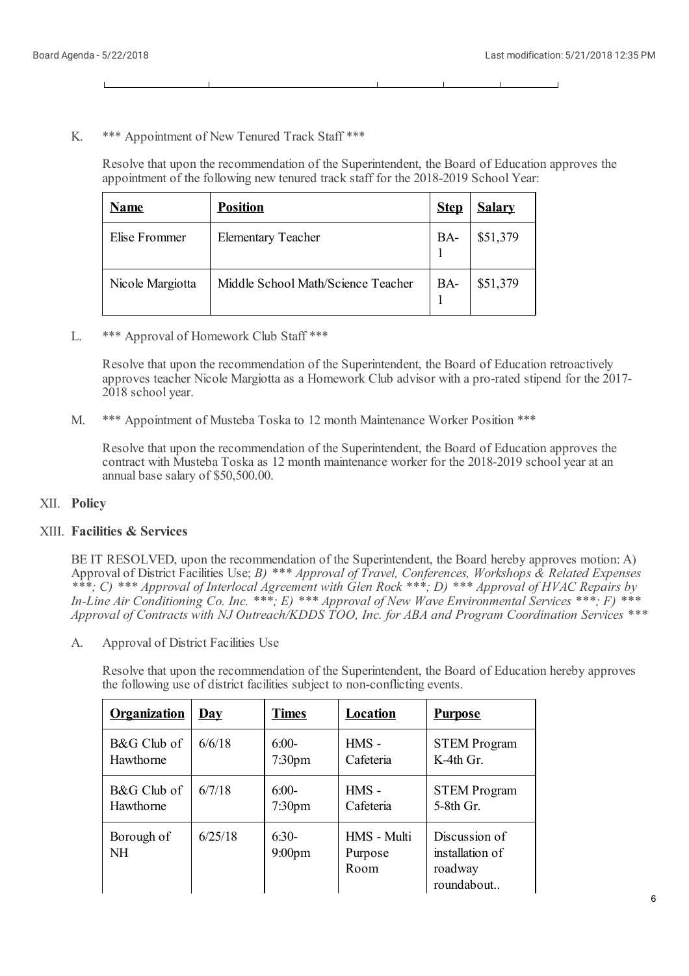#### K. \*\*\* Appointment of New Tenured Track Staff \*\*\*

Resolve that upon the recommendation of the Superintendent, the Board of Education approves the appointment of the following new tenured track staff for the 2018-2019 School Year:

| <b>Name</b>      | <b>Position</b>                    | <b>Step</b> | <b>Salary</b> |
|------------------|------------------------------------|-------------|---------------|
| Elise Frommer    | <b>Elementary Teacher</b>          | BA-         | \$51,379      |
| Nicole Margiotta | Middle School Math/Science Teacher | BA-         | \$51,379      |

L. \*\*\* Approval of Homework Club Staff \*\*\*

> Resolve that upon the recommendation of the Superintendent, the Board of Education retroactively approves teacher Nicole Margiotta as a Homework Club advisor with a pro-rated stipend for the 2017- 2018 school year.

M. \*\*\* Appointment of Musteba Toska to 12 month Maintenance Worker Position \*\*\*

Resolve that upon the recommendation of the Superintendent, the Board of Education approves the contract with Musteba Toska as 12 month maintenance worker for the 2018-2019 school year at an annual base salary of \$50,500.00.

### XII. **Policy**

# XIII. **Facilities & Services**

BE IT RESOLVED, upon the recommendation of the Superintendent, the Board hereby approves motion: A) Approval of District Facilities Use; *B) \*\*\* Approval of Travel, Conferences, Workshops & Related Expenses* \*\*\*; C) \*\*\* Approval of Interlocal Agreement with Glen Rock \*\*\*; D) \*\*\* Approval of HVAC Repairs by *In-Line Air Conditioning Co. Inc. \*\*\*; E) \*\*\* Approval of New Wave Environmental Services \*\*\*; F) \*\*\* Approval of Contracts with NJ Outreach/KDDS TOO, Inc. for ABA and Program Coordination Services \*\*\**

A. Approval of District Facilities Use

> Resolve that upon the recommendation of the Superintendent, the Board of Education hereby approves the following use of district facilities subject to non-conflicting events.

| <b>Organization</b>     | Day     | <b>Times</b>                  | Location                       | <b>Purpose</b>                                            |
|-------------------------|---------|-------------------------------|--------------------------------|-----------------------------------------------------------|
| B&G Club of             | 6/6/18  | $6:00-$                       | $HMS -$                        | <b>STEM Program</b>                                       |
| Hawthorne               |         | 7:30 <sub>pm</sub>            | Cafeteria                      | $K-4th$ Gr.                                               |
| B&G Club of             | 6/7/18  | $6:00-$                       | $HMS -$                        | <b>STEM Program</b>                                       |
| Hawthorne               |         | 7:30 <sub>pm</sub>            | Cafeteria                      | $5-8th$ Gr.                                               |
| Borough of<br><b>NH</b> | 6/25/18 | $6:30-$<br>9:00 <sub>pm</sub> | HMS - Multi<br>Purpose<br>Room | Discussion of<br>installation of<br>roadway<br>roundabout |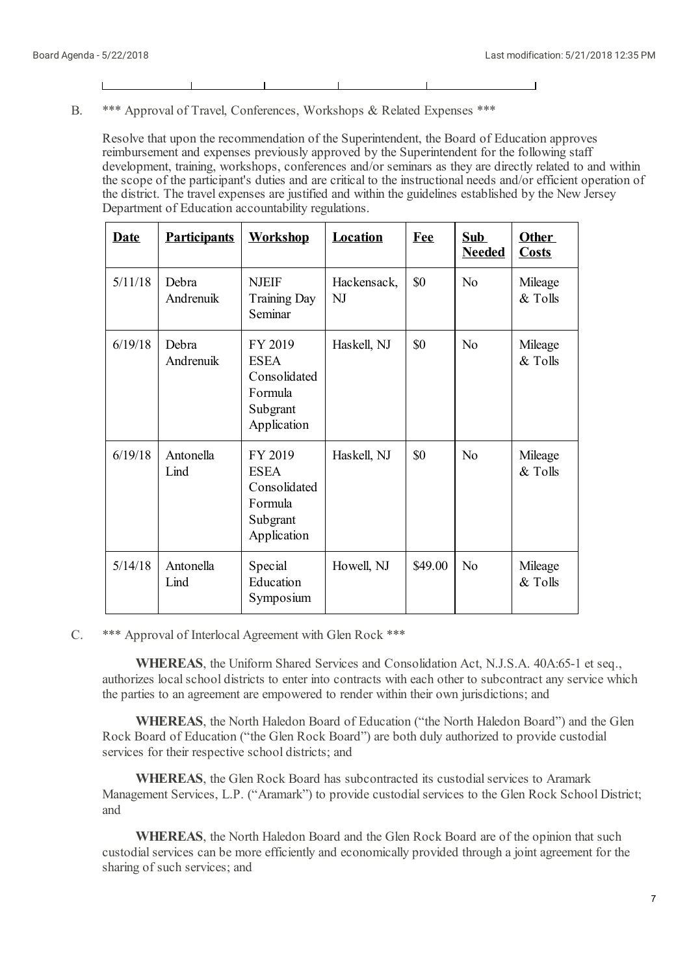$\overline{\phantom{0}}$ 

B. \*\*\* Approval of Travel, Conferences, Workshops & Related Expenses \*\*\*

Resolve that upon the recommendation of the Superintendent, the Board of Education approves reimbursement and expenses previously approved by the Superintendent for the following staff development, training, workshops, conferences and/or seminars as they are directly related to and within the scope of the participant's duties and are critical to the instructional needs and/or efficient operation of the district. The travel expenses are justified and within the guidelines established by the New Jersey Department of Education accountability regulations.

| <b>Date</b> | <b>Participants</b> | <b>Workshop</b>                                                              | <b>Location</b>   | <b>Fee</b> | <b>Sub</b><br><b>Needed</b> | <b>Other</b><br><b>Costs</b> |
|-------------|---------------------|------------------------------------------------------------------------------|-------------------|------------|-----------------------------|------------------------------|
| 5/11/18     | Debra<br>Andrenuik  | <b>NJEIF</b><br><b>Training Day</b><br>Seminar                               | Hackensack,<br>NJ | \$0        | N <sub>o</sub>              | Mileage<br>& Tolls           |
| 6/19/18     | Debra<br>Andrenuik  | FY 2019<br><b>ESEA</b><br>Consolidated<br>Formula<br>Subgrant<br>Application | Haskell, NJ       | \$0        | N <sub>o</sub>              | Mileage<br>& Tolls           |
| 6/19/18     | Antonella<br>Lind   | FY 2019<br><b>ESEA</b><br>Consolidated<br>Formula<br>Subgrant<br>Application | Haskell, NJ       | \$0        | N <sub>o</sub>              | Mileage<br>& Tolls           |
| 5/14/18     | Antonella<br>Lind   | Special<br>Education<br>Symposium                                            | Howell, NJ        | \$49.00    | N <sub>0</sub>              | Mileage<br>& Tolls           |

#### C. \*\*\* Approval of Interlocal Agreement with Glen Rock \*\*\*

**WHEREAS**, the Uniform Shared Services and Consolidation Act, N.J.S.A. 40A:65-1 et seq., authorizes local school districts to enter into contracts with each other to subcontract any service which the parties to an agreement are empowered to render within their own jurisdictions; and

**WHEREAS**, the North Haledon Board of Education ("the North Haledon Board") and the Glen Rock Board of Education ("the Glen Rock Board") are both duly authorized to provide custodial services for their respective school districts; and

**WHEREAS**, the Glen Rock Board has subcontracted its custodial services to Aramark Management Services, L.P. ("Aramark") to provide custodial services to the Glen Rock School District; and

**WHEREAS**, the North Haledon Board and the Glen Rock Board are of the opinion that such custodial services can be more efficiently and economically provided through a joint agreement for the sharing of such services; and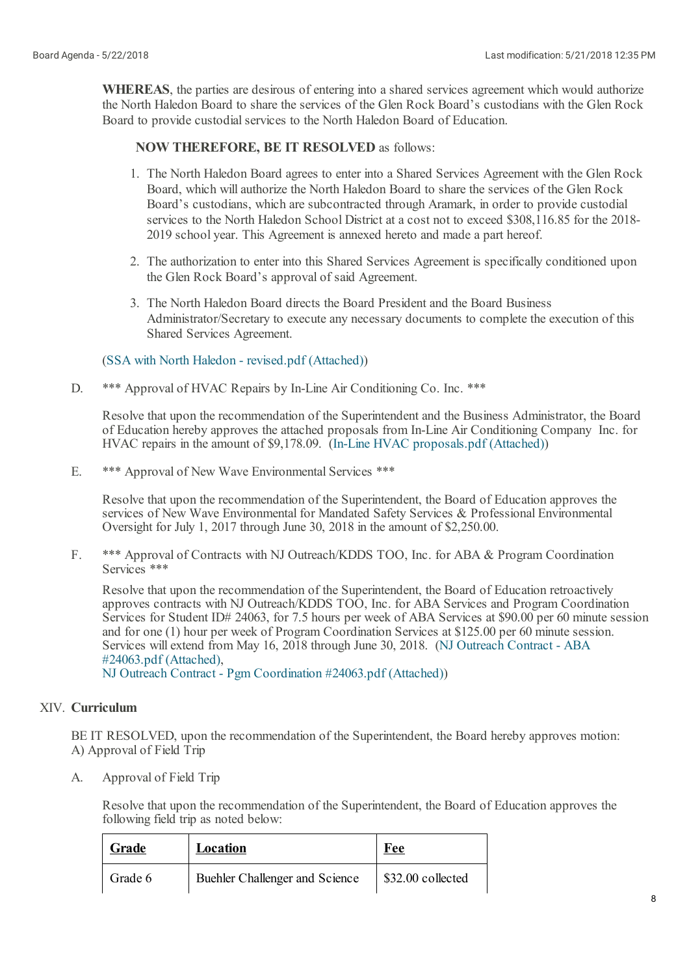**WHEREAS**, the parties are desirous of entering into a shared services agreement which would authorize the North Haledon Board to share the services of the Glen Rock Board's custodians with the Glen Rock Board to provide custodial services to the North Haledon Board of Education.

## **NOW THEREFORE, BE IT RESOLVED** as follows:

- 1. The North Haledon Board agrees to enter into a Shared Services Agreement with the Glen Rock Board, which willauthorize the North Haledon Board to share the services of the Glen Rock Board's custodians, which are subcontracted through Aramark, in order to provide custodial services to the North Haledon School District at a cost not to exceed \$308,116.85 for the 2018- 2019 school year. This Agreement is annexed hereto and made a part hereof.
- 2. The authorization to enter into this Shared Services Agreement is specifically conditioned upon the Glen Rock Board's approval of said Agreement.
- 3. The North Haledon Board directs the Board President and the Board Business Administrator/Secretary to execute any necessary documents to complete the execution of this Shared Services Agreement.

### (SSA with North Haledon - [revised.pdf](https://www.boardconnectnj.com/Item/DownloadAttachment/534) (Attached))

D. \*\*\* Approval of HVAC Repairs by In-Line Air Conditioning Co. Inc. \*\*\*

Resolve that upon the recommendation of the Superintendent and the Business Administrator, the Board of Education hereby approves the attached proposals from In-Line Air Conditioning Company Inc. for HVAC repairs in the amount of \$9,178.09. (In-Line HVAC [proposals.pdf](https://www.boardconnectnj.com/Item/DownloadAttachment/513) (Attached))

E. \*\*\* Approval of New Wave Environmental Services \*\*\*

Resolve that upon the recommendation of the Superintendent, the Board of Education approves the services of New Wave Environmental for Mandated Safety Services & Professional Environmental Oversight for July 1, 2017 through June 30, 2018 in the amount of \$2,250.00.

F. \*\*\* Approval of Contracts with NJ Outreach/KDDS TOO, Inc. for ABA & Program Coordination Services \*\*\*

Resolve that upon the recommendation of the Superintendent, the Board of Education retroactively approves contracts with NJ Outreach/KDDS TOO, Inc. for ABA Services and Program Coordination Services for Student ID# 24063, for 7.5 hours per week of ABA Services at \$90.00 per 60 minute session and for one (1) hour per week of Program Coordination Services at \$125.00 per 60 minute session. Services willextend from May 16, 2018 through June 30, 2018. (NJ Outreach Contract - ABA [#24063.pdf](https://www.boardconnectnj.com/Item/DownloadAttachment/518) (Attached),

NJ Outreach Contract - Pgm [Coordination](https://www.boardconnectnj.com/Item/DownloadAttachment/519) #24063.pdf (Attached))

# XIV. **Curriculum**

BE IT RESOLVED, upon the recommendation of the Superintendent, the Board hereby approves motion: A) Approval of Field Trip

A. Approval of Field Trip

> Resolve that upon the recommendation of the Superintendent, the Board of Education approves the following field trip as noted below:

| Grade   | Location                       | Fee               |
|---------|--------------------------------|-------------------|
| Grade 6 | Buehler Challenger and Science | \$32.00 collected |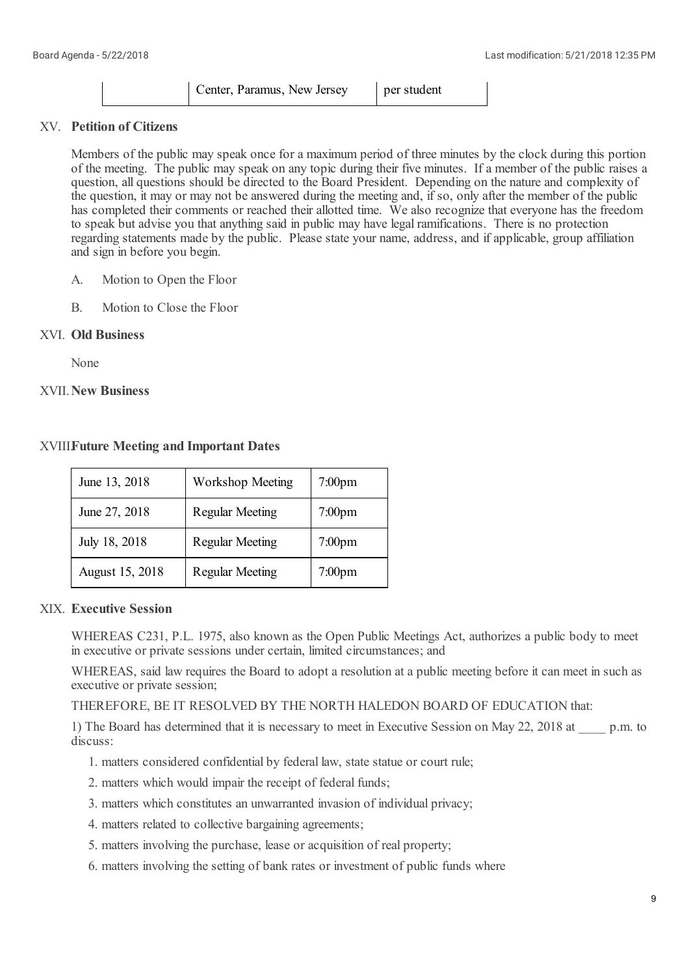| Center, Paramus, New Jersey | per student |
|-----------------------------|-------------|
|-----------------------------|-------------|

# XV. **Petition of Citizens**

Members of the public may speak once for a maximum period of three minutes by the clock during this portion of the meeting. The public may speak on any topic during their five minutes. If a member of the public raises a question, all questions should be directed to the Board President. Depending on the nature and complexity of the question, it may or may not be answered during the meeting and, if so, only after the member of the public has completed their comments or reached their allotted time. We also recognize that everyone has the freedom to speak but advise you that anything said in public may have legal ramifications. There is no protection regarding statements made by the public. Please state your name, address, and if applicable, group affiliation and sign in before you begin.

- A. Motion to Open the Floor
- B. Motion to Close the Floor

# XVI. **Old Business**

None

## XVII.**New Business**

| <b>XVIIIFuture Meeting and Important Dates</b> |  |
|------------------------------------------------|--|
|------------------------------------------------|--|

| June 13, 2018   | <b>Workshop Meeting</b> | $7:00$ pm          |
|-----------------|-------------------------|--------------------|
| June 27, 2018   | <b>Regular Meeting</b>  | $7:00$ pm          |
| July 18, 2018   | <b>Regular Meeting</b>  | 7:00 <sub>pm</sub> |
| August 15, 2018 | <b>Regular Meeting</b>  | 7:00 <sub>pm</sub> |

# XIX. **Executive Session**

WHEREAS C231, P.L. 1975, also known as the Open Public Meetings Act, authorizes a public body to meet in executive or private sessions under certain, limited circumstances; and

WHEREAS, said law requires the Board to adopt a resolution at a public meeting before it can meet in such as executive or private session;

# THEREFORE, BE IT RESOLVED BY THE NORTH HALEDON BOARD OF EDUCATION that:

1) The Board has determined that it is necessary to meet in Executive Session on May 22, 2018 at p.m. to discuss:

- 1. matters considered confidential by federal law, state statue or court rule;
- 2. matters which would impair the receipt of federal funds;
- 3. matters which constitutes an unwarranted invasion of individual privacy;
- 4. matters related to collective bargaining agreements;
- 5. matters involving the purchase, lease or acquisition of real property;
- 6. matters involving the setting of bank rates or investment of public funds where